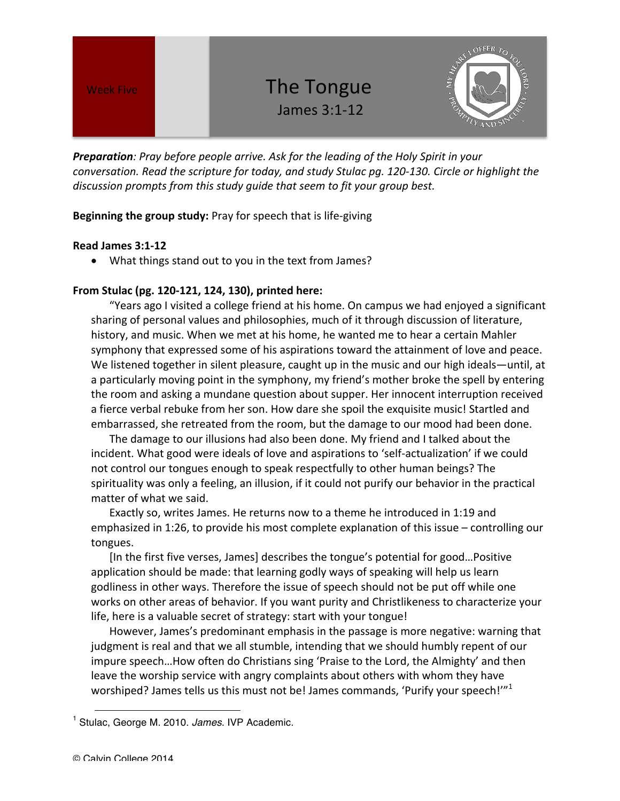

**Preparation**: Pray before people arrive. Ask for the leading of the Holy Spirit in your *conversation.* Read the scripture for today, and study Stulac pg. 120-130. Circle or highlight the discussion prompts from this study guide that seem to fit your group best.

## **Beginning the group study:** Pray for speech that is life-giving

## **Read James 3:1-12**

• What things stand out to you in the text from James?

## **From Stulac (pg. 120-121, 124, 130), printed here:**

"Years ago I visited a college friend at his home. On campus we had enjoyed a significant sharing of personal values and philosophies, much of it through discussion of literature, history, and music. When we met at his home, he wanted me to hear a certain Mahler symphony that expressed some of his aspirations toward the attainment of love and peace. We listened together in silent pleasure, caught up in the music and our high ideals—until, at a particularly moving point in the symphony, my friend's mother broke the spell by entering the room and asking a mundane question about supper. Her innocent interruption received a fierce verbal rebuke from her son. How dare she spoil the exquisite music! Startled and embarrassed, she retreated from the room, but the damage to our mood had been done.

The damage to our illusions had also been done. My friend and I talked about the incident. What good were ideals of love and aspirations to 'self-actualization' if we could not control our tongues enough to speak respectfully to other human beings? The spirituality was only a feeling, an illusion, if it could not purify our behavior in the practical matter of what we said.

Exactly so, writes James. He returns now to a theme he introduced in 1:19 and emphasized in 1:26, to provide his most complete explanation of this issue  $-$  controlling our tongues.

[In the first five verses, James] describes the tongue's potential for good...Positive application should be made: that learning godly ways of speaking will help us learn godliness in other ways. Therefore the issue of speech should not be put off while one works on other areas of behavior. If you want purity and Christlikeness to characterize your life, here is a valuable secret of strategy: start with your tongue!

However, James's predominant emphasis in the passage is more negative: warning that judgment is real and that we all stumble, intending that we should humbly repent of our impure speech...How often do Christians sing 'Praise to the Lord, the Almighty' and then leave the worship service with angry complaints about others with whom they have worshiped? James tells us this must not be! James commands, 'Purify your speech!'"<sup>1</sup>

 $\overline{a}$ 

<sup>1</sup> Stulac, George M. 2010. *James*. IVP Academic.